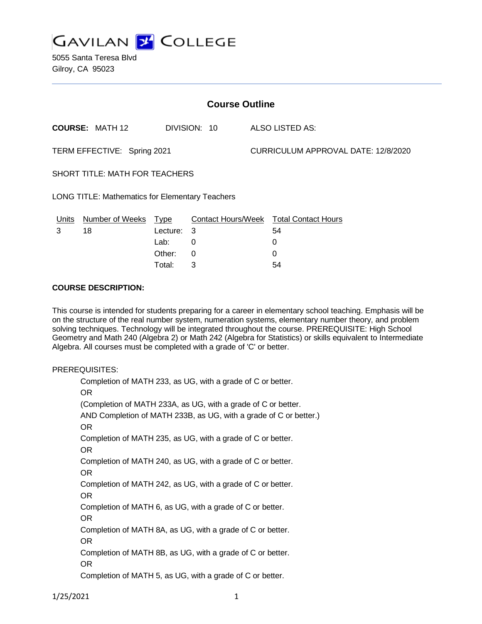

5055 Santa Teresa Blvd Gilroy, CA 95023

| <b>Course Outline</b>                                  |                        |             |              |  |                                               |  |
|--------------------------------------------------------|------------------------|-------------|--------------|--|-----------------------------------------------|--|
|                                                        | <b>COURSE: MATH 12</b> |             | DIVISION: 10 |  | ALSO LISTED AS:                               |  |
| TERM EFFECTIVE: Spring 2021                            |                        |             |              |  | CURRICULUM APPROVAL DATE: 12/8/2020           |  |
| <b>SHORT TITLE: MATH FOR TEACHERS</b>                  |                        |             |              |  |                                               |  |
| <b>LONG TITLE: Mathematics for Elementary Teachers</b> |                        |             |              |  |                                               |  |
| Units                                                  | <b>Number of Weeks</b> | <u>Type</u> |              |  | <b>Contact Hours/Week Total Contact Hours</b> |  |
| 3                                                      | 18                     | Lecture:    | 3            |  | 54                                            |  |
|                                                        |                        | Lab: .      | 0            |  | 0                                             |  |
|                                                        |                        | Other:      | 0            |  | 0                                             |  |

Total: 3 54

#### **COURSE DESCRIPTION:**

This course is intended for students preparing for a career in elementary school teaching. Emphasis will be on the structure of the real number system, numeration systems, elementary number theory, and problem solving techniques. Technology will be integrated throughout the course. PREREQUISITE: High School Geometry and Math 240 (Algebra 2) or Math 242 (Algebra for Statistics) or skills equivalent to Intermediate Algebra. All courses must be completed with a grade of 'C' or better.

#### PREREQUISITES:

Completion of MATH 233, as UG, with a grade of C or better. OR (Completion of MATH 233A, as UG, with a grade of C or better. AND Completion of MATH 233B, as UG, with a grade of C or better.) OR Completion of MATH 235, as UG, with a grade of C or better. OR Completion of MATH 240, as UG, with a grade of C or better. OR Completion of MATH 242, as UG, with a grade of C or better. OR Completion of MATH 6, as UG, with a grade of C or better. OR Completion of MATH 8A, as UG, with a grade of C or better. OR Completion of MATH 8B, as UG, with a grade of C or better. OR Completion of MATH 5, as UG, with a grade of C or better.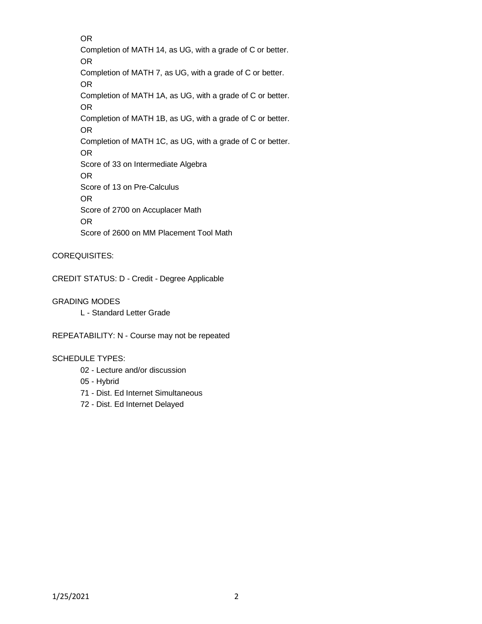OR Completion of MATH 14, as UG, with a grade of C or better. OR Completion of MATH 7, as UG, with a grade of C or better. OR Completion of MATH 1A, as UG, with a grade of C or better. OR Completion of MATH 1B, as UG, with a grade of C or better. OR Completion of MATH 1C, as UG, with a grade of C or better. OR Score of 33 on Intermediate Algebra OR Score of 13 on Pre-Calculus OR Score of 2700 on Accuplacer Math OR Score of 2600 on MM Placement Tool Math

### COREQUISITES:

CREDIT STATUS: D - Credit - Degree Applicable

### GRADING MODES

L - Standard Letter Grade

REPEATABILITY: N - Course may not be repeated

### SCHEDULE TYPES:

- 02 Lecture and/or discussion
- 05 Hybrid
- 71 Dist. Ed Internet Simultaneous
- 72 Dist. Ed Internet Delayed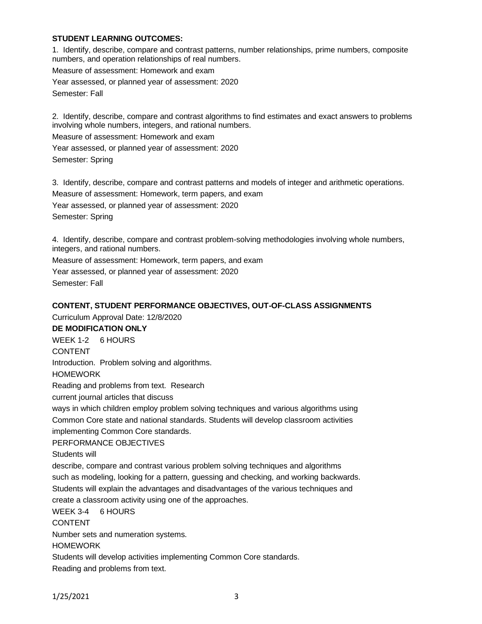### **STUDENT LEARNING OUTCOMES:**

1. Identify, describe, compare and contrast patterns, number relationships, prime numbers, composite numbers, and operation relationships of real numbers. Measure of assessment: Homework and exam Year assessed, or planned year of assessment: 2020 Semester: Fall

2. Identify, describe, compare and contrast algorithms to find estimates and exact answers to problems involving whole numbers, integers, and rational numbers. Measure of assessment: Homework and exam Year assessed, or planned year of assessment: 2020 Semester: Spring

3. Identify, describe, compare and contrast patterns and models of integer and arithmetic operations. Measure of assessment: Homework, term papers, and exam Year assessed, or planned year of assessment: 2020 Semester: Spring

4. Identify, describe, compare and contrast problem-solving methodologies involving whole numbers, integers, and rational numbers.

Measure of assessment: Homework, term papers, and exam Year assessed, or planned year of assessment: 2020

Semester: Fall

### **CONTENT, STUDENT PERFORMANCE OBJECTIVES, OUT-OF-CLASS ASSIGNMENTS**

Curriculum Approval Date: 12/8/2020

#### **DE MODIFICATION ONLY**

WEEK 1-2 6 HOURS CONTENT Introduction. Problem solving and algorithms. **HOMEWORK** Reading and problems from text. Research current journal articles that discuss ways in which children employ problem solving techniques and various algorithms using Common Core state and national standards. Students will develop classroom activities implementing Common Core standards. PERFORMANCE OBJECTIVES Students will describe, compare and contrast various problem solving techniques and algorithms such as modeling, looking for a pattern, guessing and checking, and working backwards. Students will explain the advantages and disadvantages of the various techniques and

create a classroom activity using one of the approaches.

WEEK 3-4 6 HOURS

CONTENT

Number sets and numeration systems.

HOMEWORK

Students will develop activities implementing Common Core standards.

Reading and problems from text.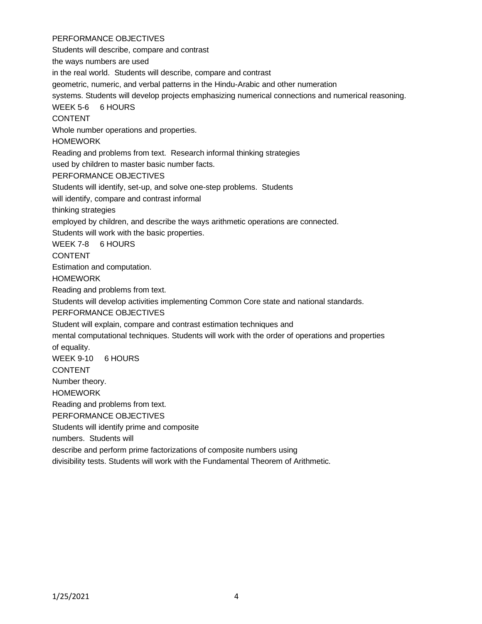### PERFORMANCE OBJECTIVES

Students will describe, compare and contrast the ways numbers are used in the real world. Students will describe, compare and contrast geometric, numeric, and verbal patterns in the Hindu-Arabic and other numeration systems. Students will develop projects emphasizing numerical connections and numerical reasoning. WEEK 5-6 6 HOURS CONTENT Whole number operations and properties. HOMEWORK Reading and problems from text. Research informal thinking strategies used by children to master basic number facts. PERFORMANCE OBJECTIVES Students will identify, set-up, and solve one-step problems. Students will identify, compare and contrast informal thinking strategies employed by children, and describe the ways arithmetic operations are connected. Students will work with the basic properties. WEEK 7-8 6 HOURS **CONTENT** Estimation and computation. HOMEWORK Reading and problems from text. Students will develop activities implementing Common Core state and national standards. PERFORMANCE OBJECTIVES Student will explain, compare and contrast estimation techniques and mental computational techniques. Students will work with the order of operations and properties of equality. WEEK 9-10 6 HOURS CONTENT Number theory. HOMEWORK Reading and problems from text. PERFORMANCE OBJECTIVES Students will identify prime and composite numbers. Students will describe and perform prime factorizations of composite numbers using divisibility tests. Students will work with the Fundamental Theorem of Arithmetic.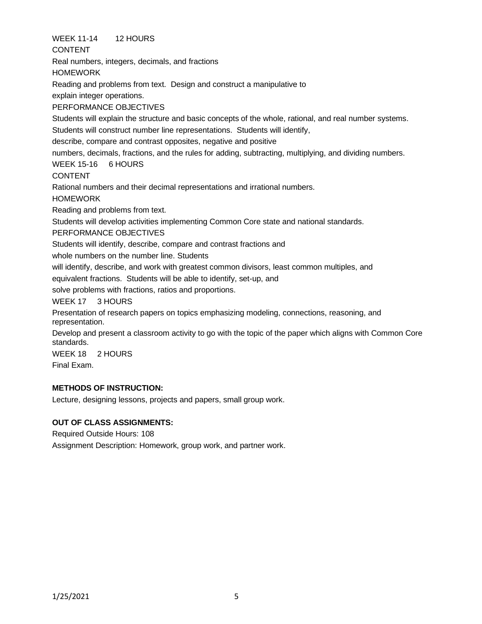WEEK 11-14 12 HOURS

CONTENT

Real numbers, integers, decimals, and fractions

**HOMEWORK** 

Reading and problems from text. Design and construct a manipulative to

explain integer operations.

# PERFORMANCE OBJECTIVES

Students will explain the structure and basic concepts of the whole, rational, and real number systems. Students will construct number line representations. Students will identify,

describe, compare and contrast opposites, negative and positive

numbers, decimals, fractions, and the rules for adding, subtracting, multiplying, and dividing numbers.

# WEEK 15-16 6 HOURS

CONTENT

Rational numbers and their decimal representations and irrational numbers.

**HOMEWORK** 

Reading and problems from text.

Students will develop activities implementing Common Core state and national standards.

PERFORMANCE OBJECTIVES

Students will identify, describe, compare and contrast fractions and

whole numbers on the number line. Students

will identify, describe, and work with greatest common divisors, least common multiples, and

equivalent fractions. Students will be able to identify, set-up, and

solve problems with fractions, ratios and proportions.

WEEK 17 3 HOURS

Presentation of research papers on topics emphasizing modeling, connections, reasoning, and representation.

Develop and present a classroom activity to go with the topic of the paper which aligns with Common Core standards.

WEEK 18 2 HOURS Final Exam.

# **METHODS OF INSTRUCTION:**

Lecture, designing lessons, projects and papers, small group work.

# **OUT OF CLASS ASSIGNMENTS:**

Required Outside Hours: 108 Assignment Description: Homework, group work, and partner work.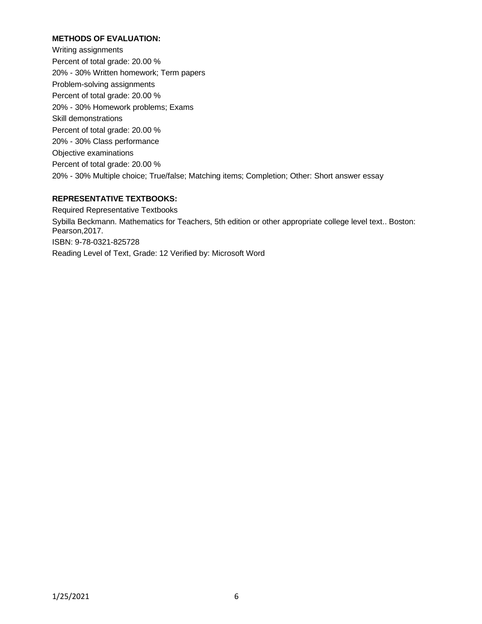### **METHODS OF EVALUATION:**

Writing assignments Percent of total grade: 20.00 % 20% - 30% Written homework; Term papers Problem-solving assignments Percent of total grade: 20.00 % 20% - 30% Homework problems; Exams Skill demonstrations Percent of total grade: 20.00 % 20% - 30% Class performance Objective examinations Percent of total grade: 20.00 % 20% - 30% Multiple choice; True/false; Matching items; Completion; Other: Short answer essay

### **REPRESENTATIVE TEXTBOOKS:**

Required Representative Textbooks Sybilla Beckmann. Mathematics for Teachers, 5th edition or other appropriate college level text.. Boston: Pearson,2017. ISBN: 9-78-0321-825728 Reading Level of Text, Grade: 12 Verified by: Microsoft Word